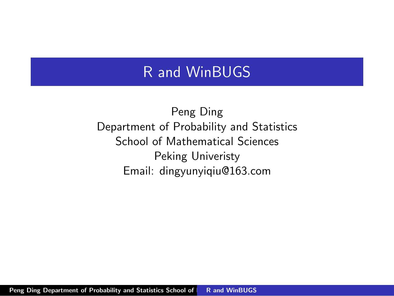#### R and WinBUGS

Peng Ding Department of Probability and Statistics School of Mathematical Sciences Peking Univeristy Email: dingyunyiqiu@163.com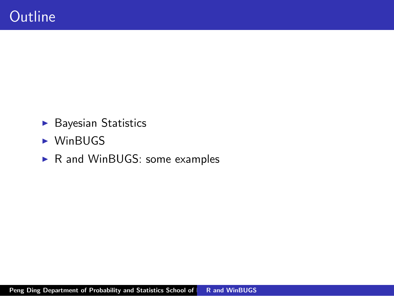- $\blacktriangleright$  Bayesian Statistics
- $\blacktriangleright$  WinBUGS
- $\triangleright$  R and WinBUGS: some examples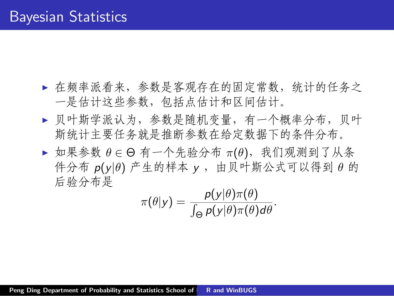- ▶ 在频率派看来,参数是客观存在的固定常数,统计的任务之 一是估计这些参数,包括点估计和区间估计。
- ▶ 贝叶斯学派认为, 参数是随机变量, 有一个概率分布, 贝叶 斯统计主要任务就是推断参数在给定数据下的条件分布。
- **▶** 如果参数  $\theta$  ∈ Θ 有一个先验分布 π(θ), 我们观测到了从条 件分布 *p*(*y|θ*) 产生的样本 *y* ,由贝叶斯公式可以得到 *θ* 的 后验分布是

$$
\pi(\theta|y) = \frac{p(y|\theta)\pi(\theta)}{\int_{\Theta} p(y|\theta)\pi(\theta)d\theta}.
$$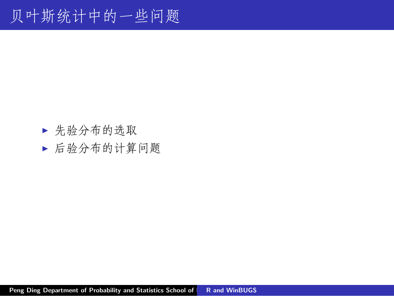- ▶ 先验分布的选取
- I 后验分布的计算问题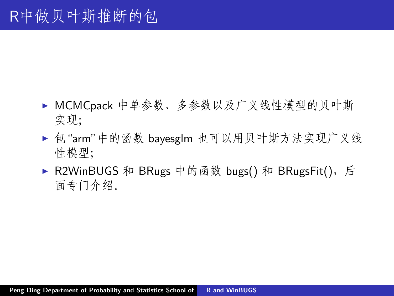- ▶ MCMCpack 中单参数、多参数以及广义线性模型的贝叶斯 实现;
- ▶ 包 "arm"中的函数 bayesglm 也可以用贝叶斯方法实现广义线 性模型;
- ▶ R2WinBUGS 和 BRugs 中的函数 bugs() 和 BRugsFit(), 后 面专门介绍。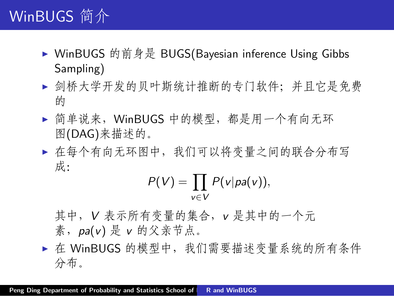# WinBUGS 简介

- ▶ WinBUGS 的前身是 BUGS(Bayesian inference Using Gibbs Sampling)
- ▶ 剑桥大学开发的贝叶斯统计推断的专门软件; 并且它是免费 的
- ▶ 简单说来, WinBUGS 中的模型, 都是用一个有向无环 图(DAG)来描述的。
- ▶ 在每个有向无环图中,我们可以将变量之间的联合分布写 成:

$$
P(V)=\prod_{v\in V}P(v|pa(v)),
$$

其中,*V* 表示所有变量的集合,*v* 是其中的一个元 素,*pa*(*v*) 是 *v* 的父亲节点。

▶ 在 WinBUGS 的模型中, 我们需要描述变量系统的所有条件 分布。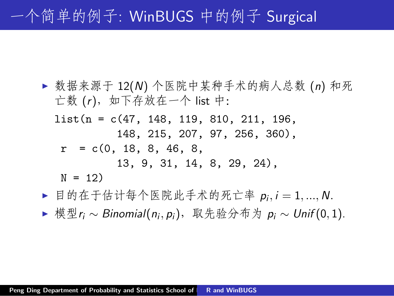# 一个简单的例子: WinBUGS 中的例子 Surgical

- ▶ 数据来源于 12(N) 个医院中某种手术的病人总数 (n) 和死 亡数 (*r*),如下存放在一个 list 中:
	- list(n = c(47, 148, 119, 810, 211, 196, 148, 215, 207, 97, 256, 360),  $r = c(0, 18, 8, 46, 8,$ 13, 9, 31, 14, 8, 29, 24),  $N = 12$
- ► 目的在于估计每个医院此手术的死亡率 p<sub>i</sub>, i = 1, ..., N.
- <sup>I</sup> 模型*r<sup>i</sup> ∼ Binomial*(*n<sup>i</sup> , pi*),取先验分布为 *p<sup>i</sup> ∼ Unif* (0*,* 1).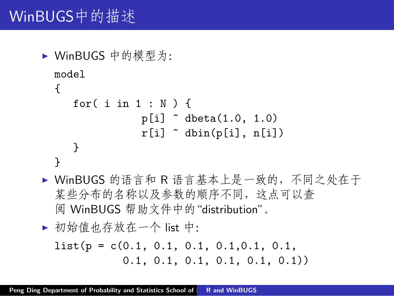# WinBUGS中的描述

- $\triangleright$  WinBUGS 中的模型为: model { for( i in 1 : N ) { p[i] ~ dbeta(1.0, 1.0)  $r[i]$   $\tilde{d}$  dbin(p[i], n[i]) } }
- ▶ WinBUGS 的语言和 R 语言基本上是一致的, 不同之处在于 某些分布的名称以及参数的顺序不同,这点可以查 阅 WinBUGS 帮助文件中的"distribution"。

<sup>I</sup> 初始值也存放在一个 list 中:

list(p = c(0.1, 0.1, 0.1, 0.1,0.1, 0.1, 0.1, 0.1, 0.1, 0.1, 0.1, 0.1))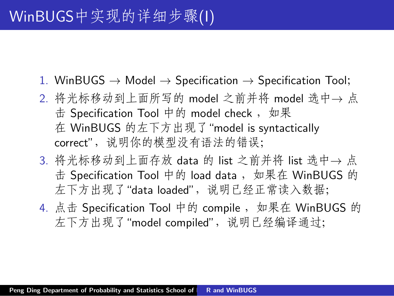- 1. WinBUGS *→* Model *→* Specification *→* Specification Tool;
- 2. 将光标移动到上面所写的 model 之前并将 model 选中*→* 点 击 Specification Tool 中的 model check, 如果 在 WinBUGS 的左下方出现了"model is syntactically correct", 说明你的模型没有语法的错误;
- 3. 将光标移动到上面存放 data 的 list 之前并将 list 选中*→* 点 击 Specification Tool 中的 load data, 如果在 WinBUGS 的 左下方出现了"data loaded", 说明已经正常读入数据;
- 4. 点击 Specification Tool 中的 compile, 如果在 WinBUGS 的 左下方出现了"model compiled",说明已经编译通过;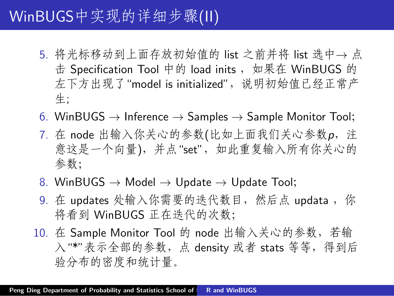## WinBUGS中实现的详细步骤(II)

- 5. 将光标移动到上面存放初始值的 list 之前并将 list 选中*→* 点 击 Specification Tool 中的 load inits, 如果在 WinBUGS 的 左下方出现了"model is initialized", 说明初始值已经正常产 生;
- 6. WinBUGS *→* Inference *→* Samples *→* Sample Monitor Tool;
- 7. 在 node 出输入你关心的参数(比如上面我们关心参数*p*,注 意这是一个向量),并点"set",如此重复输入所有你关心的 参数;
- 8. WinBUGS *→* Model *→* Update *→* Update Tool;
- 9. 在 updates 处输入你需要的迭代数目, 然后点 updata, 你 将看到 WinBUGS 正在迭代的次数;
- 10. 在 Sample Monitor Tool 的 node 出输入关心的参数,若输 入"\*"表示全部的参数, 点 density 或者 stats 等等, 得到后 验分布的密度和统计量。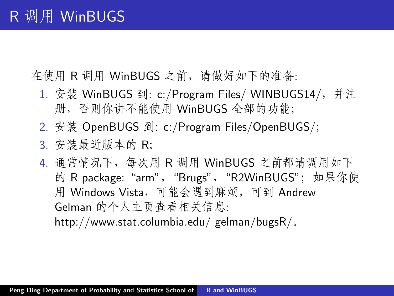在使用 R 调用 WinBUGS 之前,请做好如下的准备:

- 1. 安装 WinBUGS 到: c:/Program Files/ WINBUGS14/, 并注 册,否则你讲不能使用 WinBUGS 全部的功能;
- 2. 安装 OpenBUGS 到: c:/Program Files/OpenBUGS/;
- 3. 安装最近版本的 R;

4. 通常情况下, 每次用 R 调用 WinBUGS 之前都请调用如下 的 R package: "arm", "Brugs", "R2WinBUGS"; 如果你使 用 Windows Vista,可能会遇到麻烦,可到 Andrew Gelman 的个人主页查看相关信息: http://www.stat.columbia.edu/ gelman/bugsR/。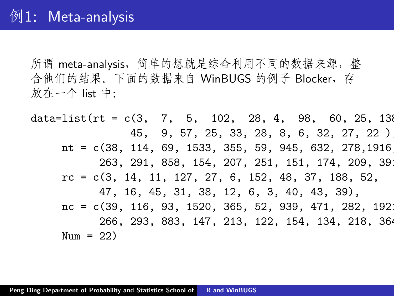所谓 meta-analysis,简单的想就是综合利用不同的数据来源,整 合他们的结果。下面的数据来自 WinBUGS 的例子 Blocker, 存 放在一个 list 中:

data=list(rt =  $c(3, 7, 5, 102, 28, 4, 98, 60, 25, 136)$ 45, 9, 57, 25, 33, 28, 8, 6, 32, 27, 22 ), nt =  $c(38, 114, 69, 1533, 355, 59, 945, 632, 278, 1916)$ 263, 291, 858, 154, 207, 251, 151, 174, 209, 39 rc = c(3, 14, 11, 127, 27, 6, 152, 48, 37, 188, 52, 47, 16, 45, 31, 38, 12, 6, 3, 40, 43, 39), nc =  $c(39, 116, 93, 1520, 365, 52, 939, 471, 282, 1921)$ 266, 293, 883, 147, 213, 122, 154, 134, 218, 364  $Num = 22$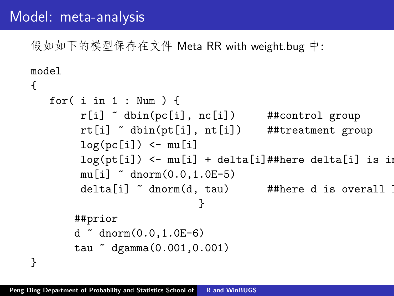### Model: meta-analysis

假如如下的模型保存在文件 Meta RR with weight.bug 中:

```
model
{
   for( i in 1 : Num ) {
         r[i] \tilde{ }</math> dbin(pc[i], nc[i]) ##control group
         rt[i] ~ dbin(pt[i], nt[i]) ##treatment group
         log(pc[i]) < - mu[i]log(pt[i]) \leftarrow mul[i] + delta[i]##here delta[i] is in
         mu[i] dmorm(0.0, 1.0E-5)delta[i] \tilde{ }</math> <math>dnorm(d, tau)</math> #there d is overall}
       ##prior
       d \sim dnorm(0.0, 1.0E-6)tau ~ dgamma(0.001,0.001)
```
}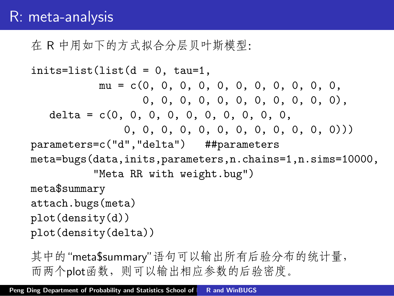#### R: meta-analysis

在 R 中用如下的方式拟合分层贝叶斯模型:

```
inits=list(list(d = 0, tau=1,mu = c(0, 0, 0, 0, 0, 0, 0, 0, 0, 0, 0,
                  0, 0, 0, 0, 0, 0, 0, 0, 0, 0, 0),
   delta = c(0, 0, 0, 0, 0, 0, 0, 0, 0, 0,
               0, 0, 0, 0, 0, 0, 0, 0, 0, 0, 0, 0)))
parameters=c("d","delta") ##parameters
meta=bugs(data,inits,parameters,n.chains=1,n.sims=10000,
          "Meta RR with weight.bug")
meta$summary
attach.bugs(meta)
plot(density(d))
plot(density(delta))
```
其中的"meta\$summary"语句可以输出所有后验分布的统计量, 而两个plot函数,则可以输出相应参数的后验密度。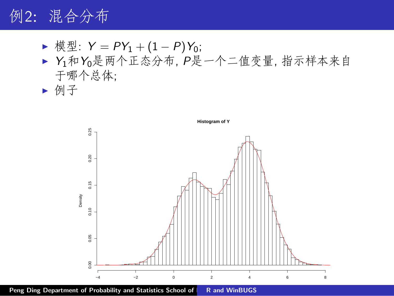## 例2:混合分布

- <sup>I</sup> 模型: *Y* = *PY*<sup>1</sup> + (1 *− P*)*Y*0;
- ▶ Y1和Y0是两个正态分布, P是一个二值变量, 指示样本来自 于哪个总体;
- I 例子

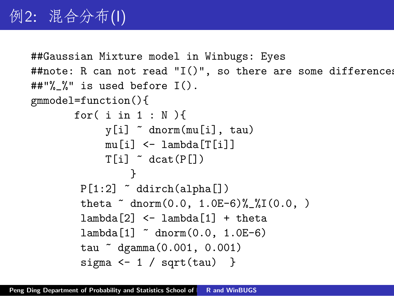```
##Gaussian Mixture model in Winbugs: Eyes
##note: R can not read "I()", so there are some differences
##"%_%" is used before I().
gmmodel=function(){
       for( i in 1 : N){
             y[i] ~ dnorm(mu[i], tau)
             mu[i] <- lambda[T[i]]
             T[i] \tilde{c} dcat(P[])
                 }
        P[1:2] \sim ddirch(alpha[])
        theta \sim dnorm(0.0, 1.0E-6)\frac{9}{6}\frac{1}{1}(0.0, )lambda[2] <- lambda[1] + theta
        lambda[1] * dnorm(0.0, 1.0E-6)tau ~ dgamma(0.001, 0.001)
         sigma \leftarrow 1 / sqrt(tau) }
```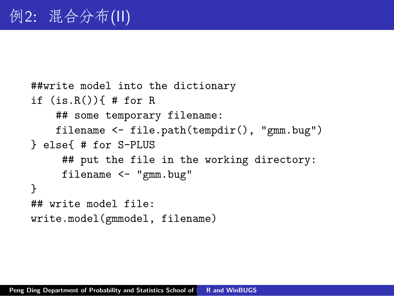```
##write model into the dictionary
if (is.R()) # for R
    ## some temporary filename:
    filename <- file.path(tempdir(), "gmm.bug")
} else{ # for S-PLUS
     ## put the file in the working directory:
     filename <- "gmm.bug"
}
## write model file:
write.model(gmmodel, filename)
```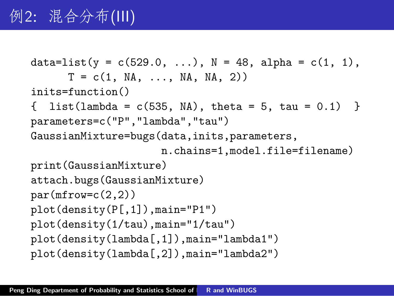```
data=list(y = c(529.0, ...), N = 48, alpha = c(1, 1),
      T = c(1, NA, ..., NA, NA, 2))inits=function()
\{ list(lambda = c(535, NA), theta = 5, tau = 0.1) }
parameters=c("P","lambda","tau")
GaussianMixture=bugs(data,inits,parameters,
                     n.chains=1,model.file=filename)
print(GaussianMixture)
attach.bugs(GaussianMixture)
par(mfrow=c(2,2))plot(density(P[,1]),main="P1")
plot(density(1/tau),main="1/tau")
plot(density(lambda[,1]),main="lambda1")
plot(density(lambda[,2]),main="lambda2")
```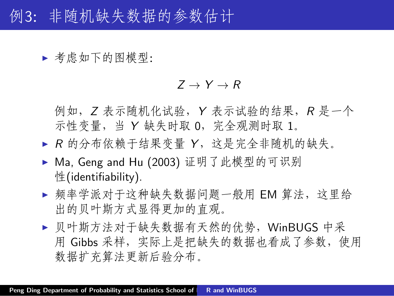例3:非随机缺失数据的参数估计

▶ 考虑如下的图模型:

 $Z \rightarrow Y \rightarrow R$ 

例如,*Z* 表示随机化试验,*Y* 表示试验的结果,*R* 是一个 示性变量,当 *Y* 缺失时取 0,完全观测时取 1。

- ▶ R 的分布依赖于结果变量 Y, 这是完全非随机的缺失。
- ▶ Ma, Geng and Hu (2003) 证明了此模型的可识别 性(identifiability).
- ▶ 频率学派对于这种缺失数据问题一般用 EM 算法, 这里给 出的贝叶斯方式显得更加的直观。
- ▶ 贝叶斯方法对于缺失数据有天然的优势, WinBUGS 中采 用 Gibbs 采样, 实际上是把缺失的数据也看成了参数, 使用 数据扩充算法更新后验分布。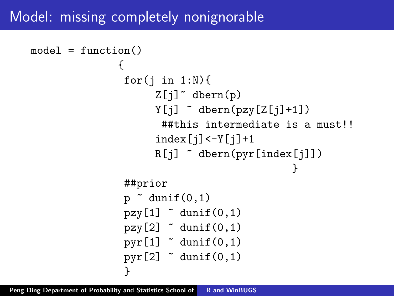### Model: missing completely nonignorable

```
model = function(){
                   for(j in 1:N){
                         Z[j]<sup>~</sup> dbern(p)
                         Y[i] \sim dbern(pzy[Z[j]+1])
                          ##this intermediate is a must!!
                         index[j]<-Y[j]+1R[i] \sim dbern(pyr[index[j]])
                                                     }
                   ##prior
                   p \uparrow dunif (0,1)pzy[1] \tilde{q} dunif(0.1)
                   pzy[2] \tilde{q} dunif(0,1)
                   pyr[1] \tilde{q} dunif(0,1)
                   pyr[2] \tilde{q} dunif(0,1)
                   }
```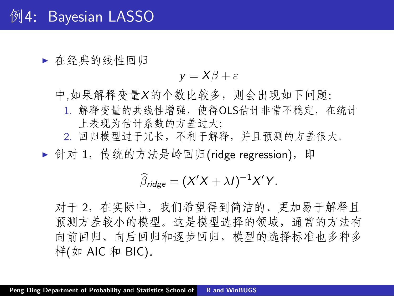▶ 在经典的线性回归

$$
y = X\beta + \varepsilon
$$

中,如果解释变量*X*的个数比较多,则会出现如下问题:

- 1. 解释变量的共线性增强,使得OLS估计非常不稳定,在统计 上表现为估计系数的方差过大;
- 2. 回归模型过于冗长,不利于解释,并且预测的方差很大。

▶ 针对 1, 传统的方法是岭回归(ridge regression), 即

$$
\widehat{\beta}_{\text{ridge}} = (X'X + \lambda I)^{-1}X'Y.
$$

对于 2,在实际中,我们希望得到简洁的、更加易于解释且 预测方差较小的模型。这是模型选择的领域,通常的方法有 向前回归、向后回归和逐步回归,模型的选择标准也多种多 样(如 AIC 和 BIC)。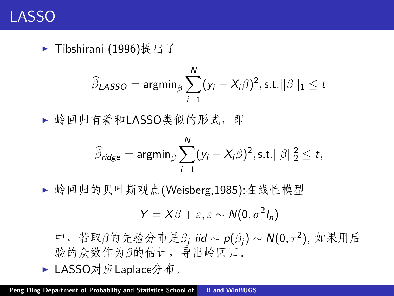

▶ Tibshirani (1996)提出了

$$
\widehat{\beta}_{LASSO} = \operatorname{argmin}_{\beta} \sum_{i=1}^{N} (y_i - X_i \beta)^2, \text{s.t.} ||\beta||_1 \leq t
$$

▶ 岭回归有着和LASSO类似的形式, 即

$$
\widehat{\beta}_{\text{ridge}} = \mathrm{argmin}_{\beta} \sum_{i=1}^{N} (y_i - X_i \beta)^2, \text{s.t.} ||\beta||_2^2 \leq t,
$$

▶ 岭回归的贝叶斯观点(Weisberg,1985):在线性模型

$$
Y = X\beta + \varepsilon, \varepsilon \sim N(0, \sigma^2 I_n)
$$

中,若取*β*的先验分布是*β<sup>j</sup> iid ∼ p*(*βj*) *∼ N*(0*, τ* <sup>2</sup> )*,* 如果用后 验的众数作为*β*的估计,导出岭回归。

▶ LASSO对应Laplace分布。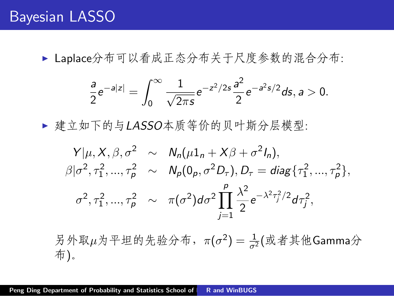### Bayesian LASSO

▶ Laplace分布可以看成正态分布关于尺度参数的混合分布:

$$
\frac{a}{2}e^{-a|z|}=\int_0^\infty \frac{1}{\sqrt{2\pi s}}e^{-z^2/2s}\frac{a^2}{2}e^{-a^2s/2}ds, a>0.
$$

▶ 建立如下的与LASSO本质等价的贝叶斯分层模型:

$$
Y|\mu, X, \beta, \sigma^2 \sim N_n(\mu 1_n + X\beta + \sigma^2 I_n),
$$
  
\n
$$
\beta|\sigma^2, \tau_1^2, ..., \tau_p^2 \sim N_p(0_p, \sigma^2 D_\tau), D_\tau = \text{diag}\{\tau_1^2, ..., \tau_p^2\},
$$
  
\n
$$
\sigma^2, \tau_1^2, ..., \tau_p^2 \sim \pi(\sigma^2) d\sigma^2 \prod_{j=1}^p \frac{\lambda^2}{2} e^{-\lambda^2 \tau_j^2/2} d\tau_j^2,
$$

另外取μ为平坦的先验分布, π(σ<sup>2</sup>) =  $\frac{1}{\sigma^2}$ (或者其他Gamma分 布)。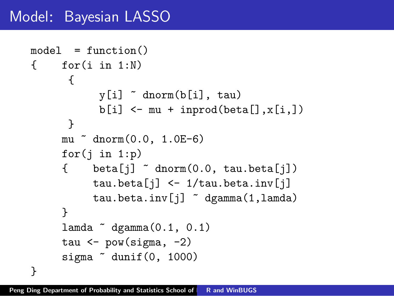## Model: Bayesian LASSO

```
model = function(){ for(i in 1:N)
      {
           y[i] ~ dnorm(b[i], tau)
           b[i] <- mu + inprod(beta[],x[i,])
      }
     mu * dnorm(0.0, 1.0E-6)for(j in 1:p)
     \{ beta[j] \tilde{ } dnorm(0.0, tau.beta[j])
          tau.beta[i] <- 1/tau.beta.inv[i]tau.beta.inv[j] ~ dgamma(1,lamda)
     }
     lamda qgamma(0.1, 0.1)tau \leftarrow pow(sigma, -2)
     sigma \tilde{ } dunif(0, 1000)
}
```